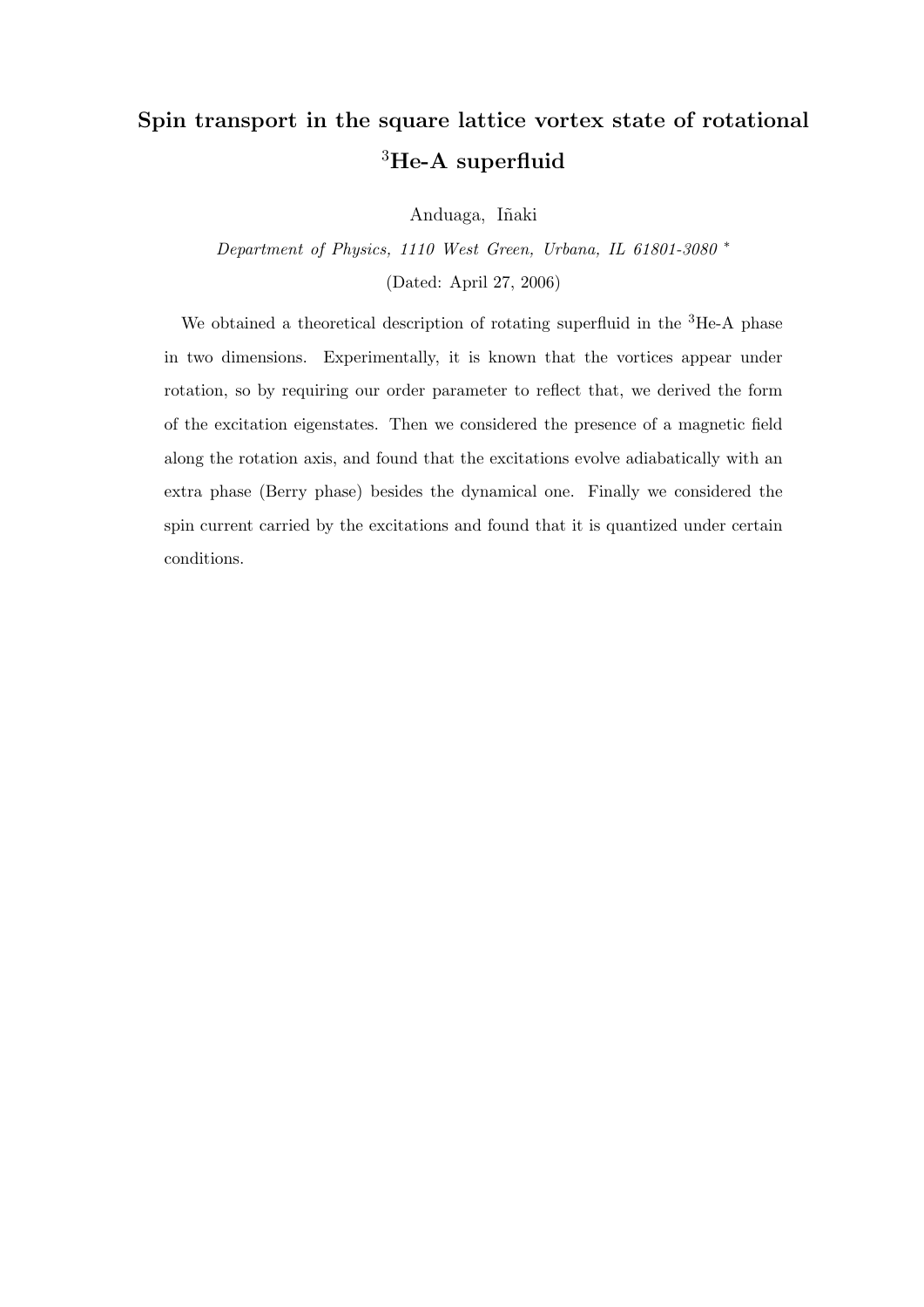# Spin transport in the square lattice vortex state of rotational <sup>3</sup>He-A superfluid

Anduaga, Iñaki

Department of Physics, 1110 West Green, Urbana, IL 61801-3080 <sup>∗</sup> (Dated: April 27, 2006)

We obtained a theoretical description of rotating superfluid in the <sup>3</sup>He-A phase in two dimensions. Experimentally, it is known that the vortices appear under rotation, so by requiring our order parameter to reflect that, we derived the form of the excitation eigenstates. Then we considered the presence of a magnetic field along the rotation axis, and found that the excitations evolve adiabatically with an extra phase (Berry phase) besides the dynamical one. Finally we considered the spin current carried by the excitations and found that it is quantized under certain conditions.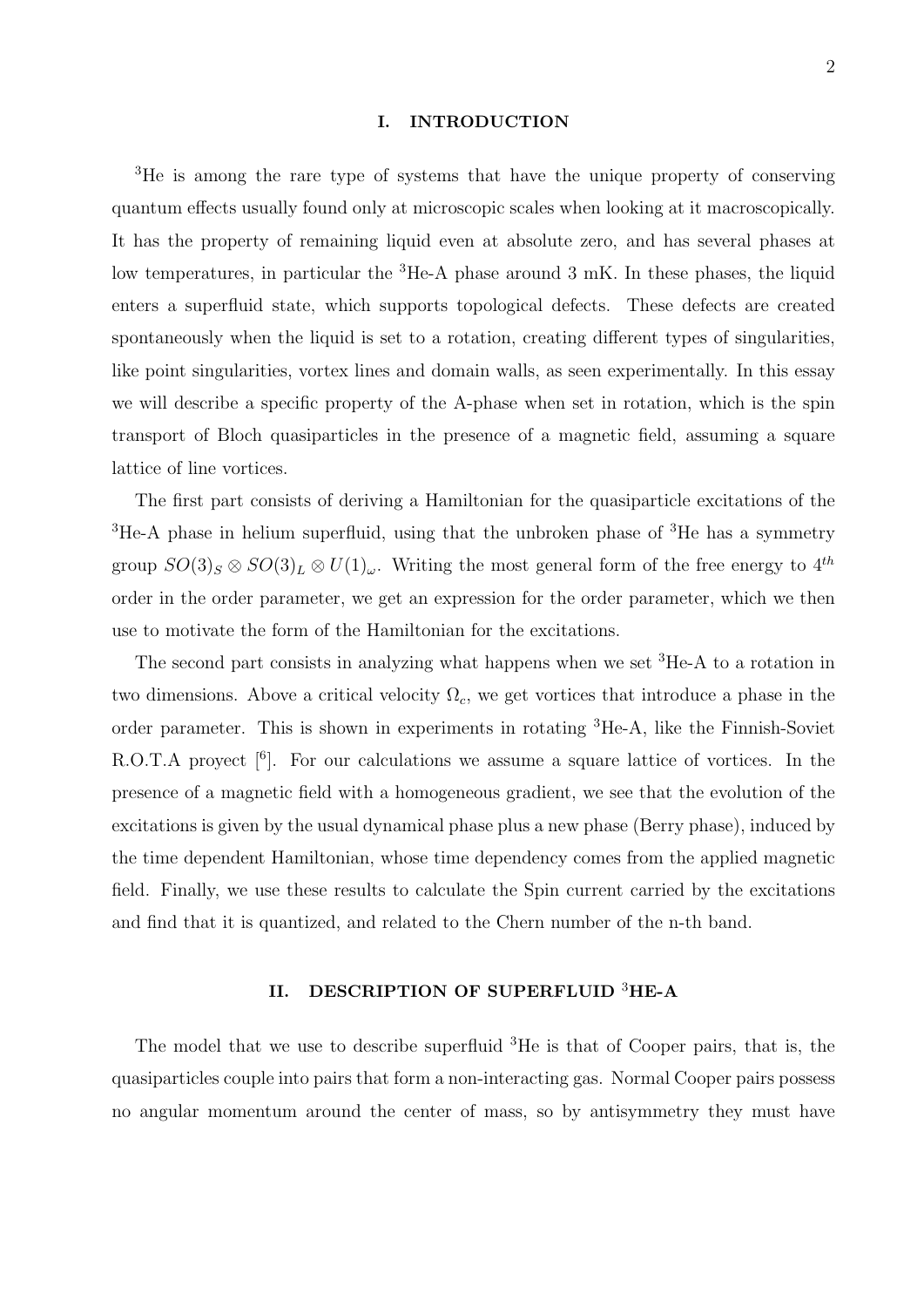#### I. INTRODUCTION

<sup>3</sup>He is among the rare type of systems that have the unique property of conserving quantum effects usually found only at microscopic scales when looking at it macroscopically. It has the property of remaining liquid even at absolute zero, and has several phases at low temperatures, in particular the <sup>3</sup>He-A phase around 3 mK. In these phases, the liquid enters a superfluid state, which supports topological defects. These defects are created spontaneously when the liquid is set to a rotation, creating different types of singularities, like point singularities, vortex lines and domain walls, as seen experimentally. In this essay we will describe a specific property of the A-phase when set in rotation, which is the spin transport of Bloch quasiparticles in the presence of a magnetic field, assuming a square lattice of line vortices.

The first part consists of deriving a Hamiltonian for the quasiparticle excitations of the <sup>3</sup>He-A phase in helium superfluid, using that the unbroken phase of <sup>3</sup>He has a symmetry group  $SO(3)_S \otimes SO(3)_L \otimes U(1)_\omega$ . Writing the most general form of the free energy to  $4^{th}$ order in the order parameter, we get an expression for the order parameter, which we then use to motivate the form of the Hamiltonian for the excitations.

The second part consists in analyzing what happens when we set <sup>3</sup>He-A to a rotation in two dimensions. Above a critical velocity  $\Omega_c$ , we get vortices that introduce a phase in the order parameter. This is shown in experiments in rotating <sup>3</sup>He-A, like the Finnish-Soviet R.O.T.A proyect [<sup>6</sup>]. For our calculations we assume a square lattice of vortices. In the presence of a magnetic field with a homogeneous gradient, we see that the evolution of the excitations is given by the usual dynamical phase plus a new phase (Berry phase), induced by the time dependent Hamiltonian, whose time dependency comes from the applied magnetic field. Finally, we use these results to calculate the Spin current carried by the excitations and find that it is quantized, and related to the Chern number of the n-th band.

# II. DESCRIPTION OF SUPERFLUID <sup>3</sup>HE-A

The model that we use to describe superfluid  ${}^{3}$ He is that of Cooper pairs, that is, the quasiparticles couple into pairs that form a non-interacting gas. Normal Cooper pairs possess no angular momentum around the center of mass, so by antisymmetry they must have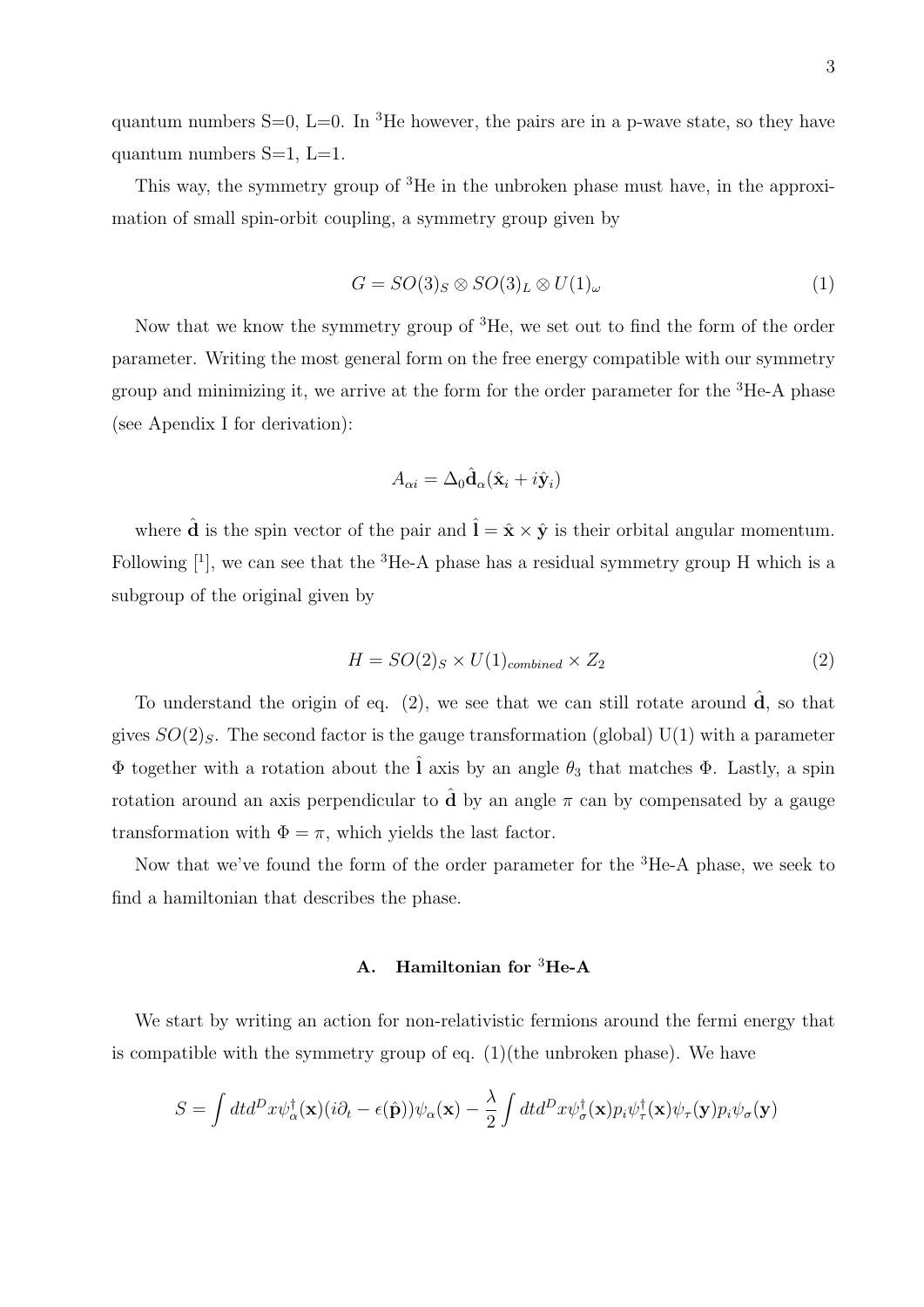quantum numbers  $S=0$ ,  $L=0$ . In <sup>3</sup>He however, the pairs are in a p-wave state, so they have quantum numbers  $S=1$ ,  $L=1$ .

This way, the symmetry group of <sup>3</sup>He in the unbroken phase must have, in the approximation of small spin-orbit coupling, a symmetry group given by

$$
G = SO(3)_S \otimes SO(3)_L \otimes U(1)_\omega \tag{1}
$$

Now that we know the symmetry group of <sup>3</sup>He, we set out to find the form of the order parameter. Writing the most general form on the free energy compatible with our symmetry group and minimizing it, we arrive at the form for the order parameter for the <sup>3</sup>He-A phase (see Apendix I for derivation):

$$
A_{\alpha i} = \Delta_0 \hat{\mathbf{d}}_{\alpha} (\hat{\mathbf{x}}_i + i \hat{\mathbf{y}}_i)
$$

where  $\hat{\mathbf{d}}$  is the spin vector of the pair and  $\hat{\mathbf{l}} = \hat{\mathbf{x}} \times \hat{\mathbf{y}}$  is their orbital angular momentum. Following  $[1]$ , we can see that the <sup>3</sup>He-A phase has a residual symmetry group H which is a subgroup of the original given by

$$
H = SO(2)_S \times U(1)_{combined} \times Z_2 \tag{2}
$$

To understand the origin of eq.  $(2)$ , we see that we can still rotate around  $\hat{d}$ , so that gives  $SO(2)<sub>S</sub>$ . The second factor is the gauge transformation (global) U(1) with a parameter Φ together with a rotation about the  $\hat{I}$  axis by an angle  $\theta_3$  that matches Φ. Lastly, a spin rotation around an axis perpendicular to  $\hat{d}$  by an angle  $\pi$  can by compensated by a gauge transformation with  $\Phi = \pi$ , which yields the last factor.

Now that we've found the form of the order parameter for the <sup>3</sup>He-A phase, we seek to find a hamiltonian that describes the phase.

# A. Hamiltonian for  ${}^{3}$ He-A

We start by writing an action for non-relativistic fermions around the fermi energy that is compatible with the symmetry group of eq.  $(1)($ the unbroken phase). We have

$$
S = \int dt d^D x \psi_{\alpha}^{\dagger}(\mathbf{x}) (i\partial_t - \epsilon(\hat{\mathbf{p}})) \psi_{\alpha}(\mathbf{x}) - \frac{\lambda}{2} \int dt d^D x \psi_{\sigma}^{\dagger}(\mathbf{x}) p_i \psi_{\tau}^{\dagger}(\mathbf{x}) \psi_{\tau}(\mathbf{y}) p_i \psi_{\sigma}(\mathbf{y})
$$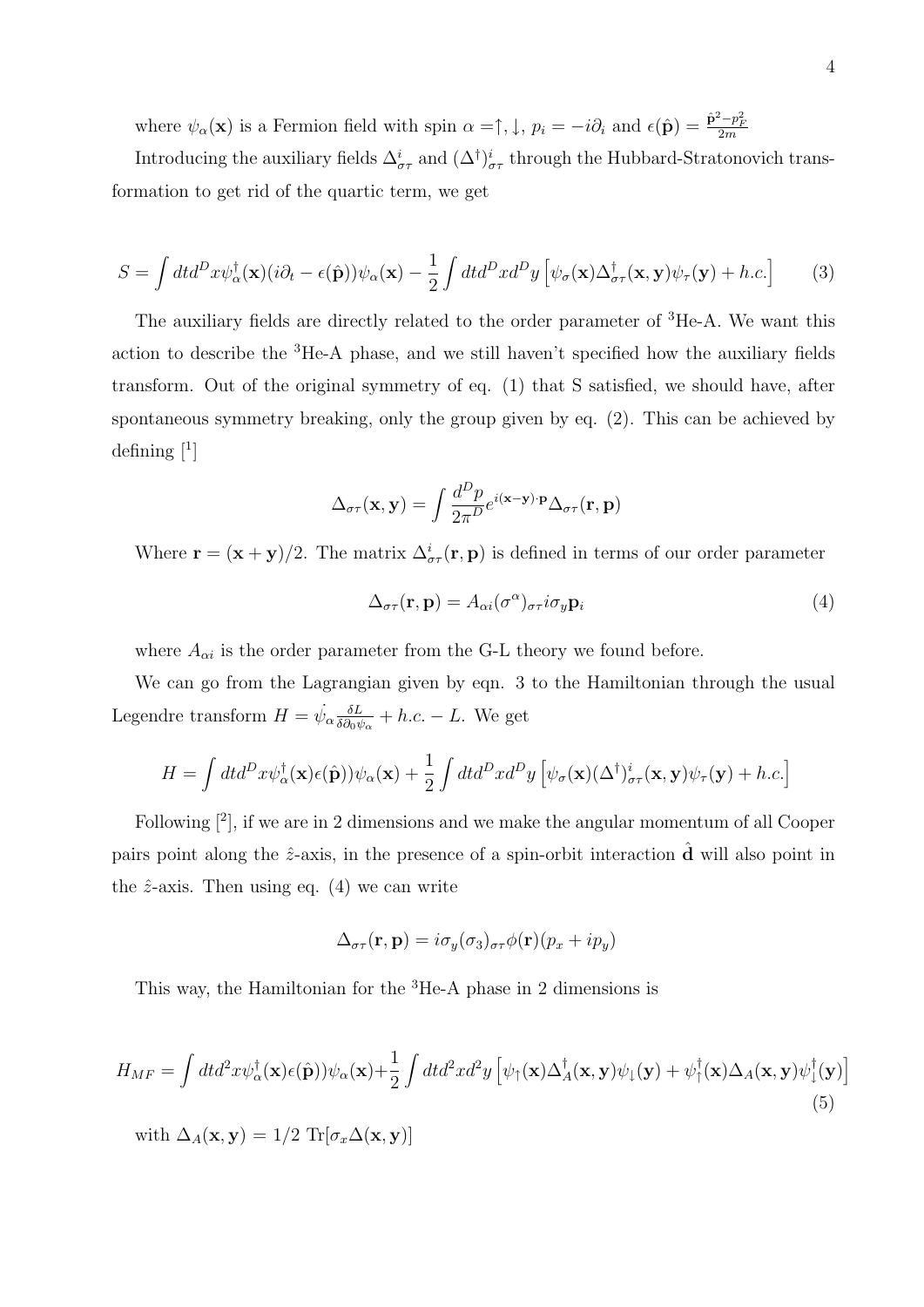where  $\psi_{\alpha}(\mathbf{x})$  is a Fermion field with spin  $\alpha = \uparrow, \downarrow, p_i = -i\partial_i$  and  $\epsilon(\hat{\mathbf{p}}) = \frac{\hat{\mathbf{p}}^2 - p_F^2}{2m}$ 

Introducing the auxiliary fields  $\Delta_{\sigma\tau}^i$  and  $(\Delta^{\dagger})_{\sigma\tau}^i$  through the Hubbard-Stratonovich transformation to get rid of the quartic term, we get

$$
S = \int dt d^D x \psi_{\alpha}^{\dagger}(\mathbf{x}) (i\partial_t - \epsilon(\hat{\mathbf{p}})) \psi_{\alpha}(\mathbf{x}) - \frac{1}{2} \int dt d^D x d^D y \left[ \psi_{\sigma}(\mathbf{x}) \Delta_{\sigma\tau}^{\dagger}(\mathbf{x}, \mathbf{y}) \psi_{\tau}(\mathbf{y}) + h.c. \right]
$$
(3)

The auxiliary fields are directly related to the order parameter of <sup>3</sup>He-A. We want this action to describe the <sup>3</sup>He-A phase, and we still haven't specified how the auxiliary fields transform. Out of the original symmetry of eq. (1) that S satisfied, we should have, after spontaneous symmetry breaking, only the group given by eq. (2). This can be achieved by defining [<sup>1</sup> ]

$$
\Delta_{\sigma\tau}(\mathbf{x}, \mathbf{y}) = \int \frac{d^D p}{2\pi^D} e^{i(\mathbf{x} - \mathbf{y}) \cdot \mathbf{p}} \Delta_{\sigma\tau}(\mathbf{r}, \mathbf{p})
$$

Where  $\mathbf{r} = (\mathbf{x} + \mathbf{y})/2$ . The matrix  $\Delta_{\sigma\tau}^i(\mathbf{r}, \mathbf{p})$  is defined in terms of our order parameter

$$
\Delta_{\sigma\tau}(\mathbf{r}, \mathbf{p}) = A_{\alpha i}(\sigma^{\alpha})_{\sigma\tau} i\sigma_y \mathbf{p}_i
$$
\n(4)

where  $A_{\alpha i}$  is the order parameter from the G-L theory we found before.

We can go from the Lagrangian given by eqn. 3 to the Hamiltonian through the usual Legendre transform  $H = \dot{\psi}_{\alpha} \frac{\delta L}{\delta \partial \alpha}$  $\frac{\delta L}{\delta \partial_0 \psi_\alpha} + h.c. - L$ . We get

$$
H = \int dt d^D x \psi_{\alpha}^{\dagger}(\mathbf{x}) \epsilon(\hat{\mathbf{p}})) \psi_{\alpha}(\mathbf{x}) + \frac{1}{2} \int dt d^D x d^D y \left[ \psi_{\sigma}(\mathbf{x}) (\Delta^{\dagger})^i_{\sigma \tau}(\mathbf{x}, \mathbf{y}) \psi_{\tau}(\mathbf{y}) + h.c. \right]
$$

Following  $[2]$ , if we are in 2 dimensions and we make the angular momentum of all Cooper pairs point along the  $\hat{z}$ -axis, in the presence of a spin-orbit interaction  $\hat{d}$  will also point in the  $\hat{z}$ -axis. Then using eq. (4) we can write

$$
\Delta_{\sigma\tau}(\mathbf{r},\mathbf{p})=i\sigma_{y}(\sigma_{3})_{\sigma\tau}\phi(\mathbf{r})(p_{x}+ip_{y})
$$

This way, the Hamiltonian for the  ${}^{3}$ He-A phase in 2 dimensions is

$$
H_{MF} = \int dt d^2x \psi_{\alpha}^{\dagger}(\mathbf{x}) \epsilon(\hat{\mathbf{p}})) \psi_{\alpha}(\mathbf{x}) + \frac{1}{2} \int dt d^2x d^2y \left[ \psi_{\uparrow}(\mathbf{x}) \Delta_A^{\dagger}(\mathbf{x}, \mathbf{y}) \psi_{\downarrow}(\mathbf{y}) + \psi_{\uparrow}^{\dagger}(\mathbf{x}) \Delta_A(\mathbf{x}, \mathbf{y}) \psi_{\downarrow}^{\dagger}(\mathbf{y}) \right]
$$
\n(5)

\nwith  $\Delta_A(\mathbf{x}, \mathbf{y}) = 1/2 \text{ Tr}[\sigma_x \Delta(\mathbf{x}, \mathbf{y})]$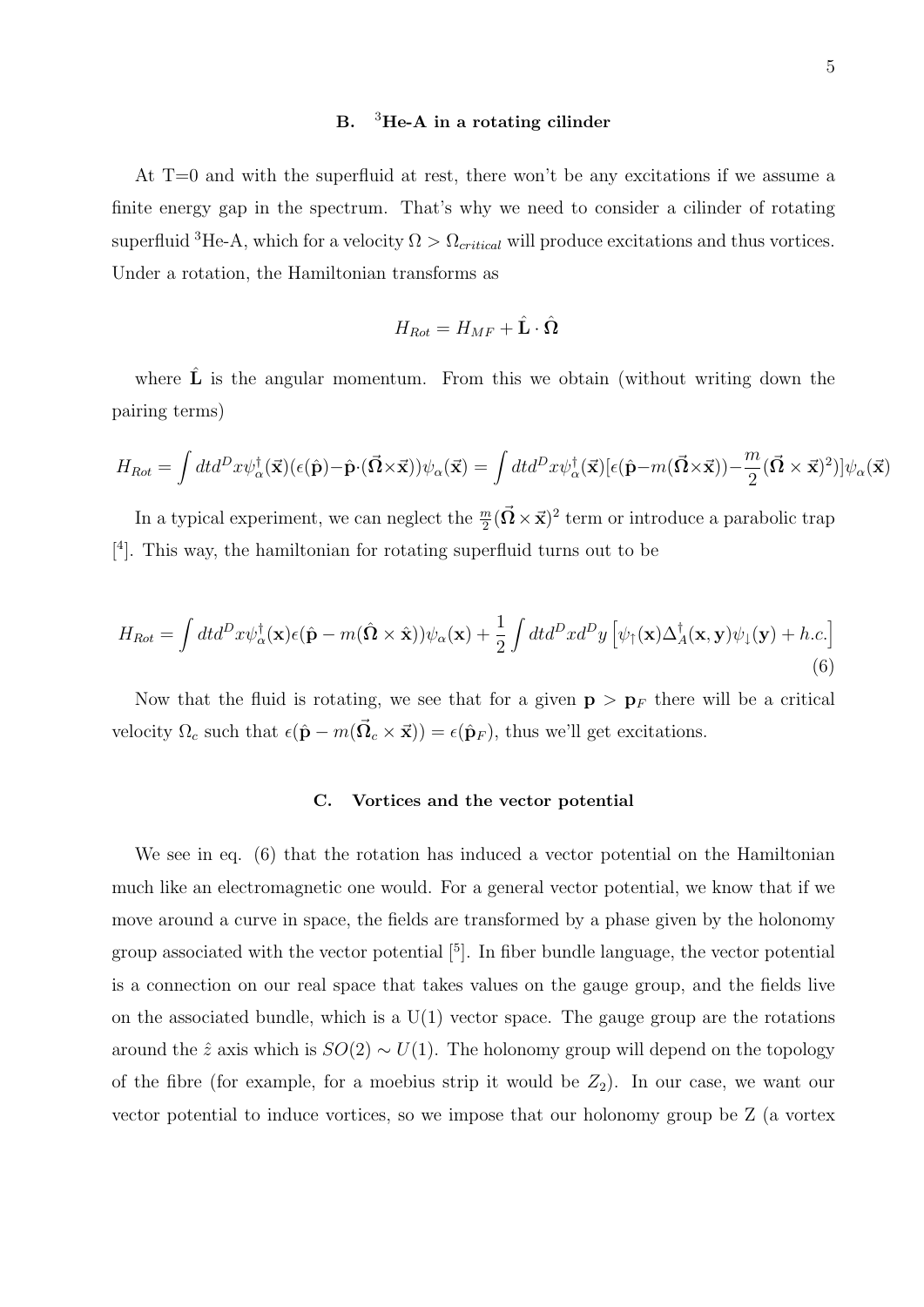#### B.  ${}^{3}$ He-A in a rotating cilinder

At  $T=0$  and with the superfluid at rest, there won't be any excitations if we assume a finite energy gap in the spectrum. That's why we need to consider a cilinder of rotating superfluid <sup>3</sup>He-A, which for a velocity  $\Omega > \Omega_{critical}$  will produce excitations and thus vortices. Under a rotation, the Hamiltonian transforms as

$$
H_{Rot}=H_{MF}+\hat{\textbf{L}}\cdot\hat{\textbf{\Omega}}
$$

where  $\hat{\mathbf{L}}$  is the angular momentum. From this we obtain (without writing down the pairing terms)

$$
H_{Rot} = \int dt d^{D}x \psi_{\alpha}^{\dagger}(\vec{\mathbf{x}})(\epsilon(\hat{\mathbf{p}}) - \hat{\mathbf{p}} \cdot (\vec{\mathbf{\Omega}} \times \vec{\mathbf{x}})) \psi_{\alpha}(\vec{\mathbf{x}}) = \int dt d^{D}x \psi_{\alpha}^{\dagger}(\vec{\mathbf{x}})[\epsilon(\hat{\mathbf{p}} - m(\vec{\mathbf{\Omega}} \times \vec{\mathbf{x}})) - \frac{m}{2}(\vec{\mathbf{\Omega}} \times \vec{\mathbf{x}})^{2})] \psi_{\alpha}(\vec{\mathbf{x}})
$$

In a typical experiment, we can neglect the  $\frac{m}{2}(\vec{\Omega} \times \vec{x})^2$  term or introduce a parabolic trap [ 4 ]. This way, the hamiltonian for rotating superfluid turns out to be

$$
H_{Rot} = \int dt d^{D}x \psi_{\alpha}^{\dagger}(\mathbf{x}) \epsilon(\hat{\mathbf{p}} - m(\hat{\mathbf{\Omega}} \times \hat{\mathbf{x}})) \psi_{\alpha}(\mathbf{x}) + \frac{1}{2} \int dt d^{D}x d^{D}y \left[ \psi_{\uparrow}(\mathbf{x}) \Delta_{A}^{\dagger}(\mathbf{x}, \mathbf{y}) \psi_{\downarrow}(\mathbf{y}) + h.c. \right]
$$
\n(6)

Now that the fluid is rotating, we see that for a given  $p > p_F$  there will be a critical velocity  $\Omega_c$  such that  $\epsilon(\hat{\mathbf{p}} - m(\vec{\Omega}_c \times \vec{\mathbf{x}})) = \epsilon(\hat{\mathbf{p}}_F)$ , thus we'll get excitations.

#### C. Vortices and the vector potential

We see in eq. (6) that the rotation has induced a vector potential on the Hamiltonian much like an electromagnetic one would. For a general vector potential, we know that if we move around a curve in space, the fields are transformed by a phase given by the holonomy group associated with the vector potential  $\binom{5}{1}$ . In fiber bundle language, the vector potential is a connection on our real space that takes values on the gauge group, and the fields live on the associated bundle, which is a  $U(1)$  vector space. The gauge group are the rotations around the  $\hat{z}$  axis which is  $SO(2) \sim U(1)$ . The holonomy group will depend on the topology of the fibre (for example, for a moebius strip it would be  $Z_2$ ). In our case, we want our vector potential to induce vortices, so we impose that our holonomy group be Z (a vortex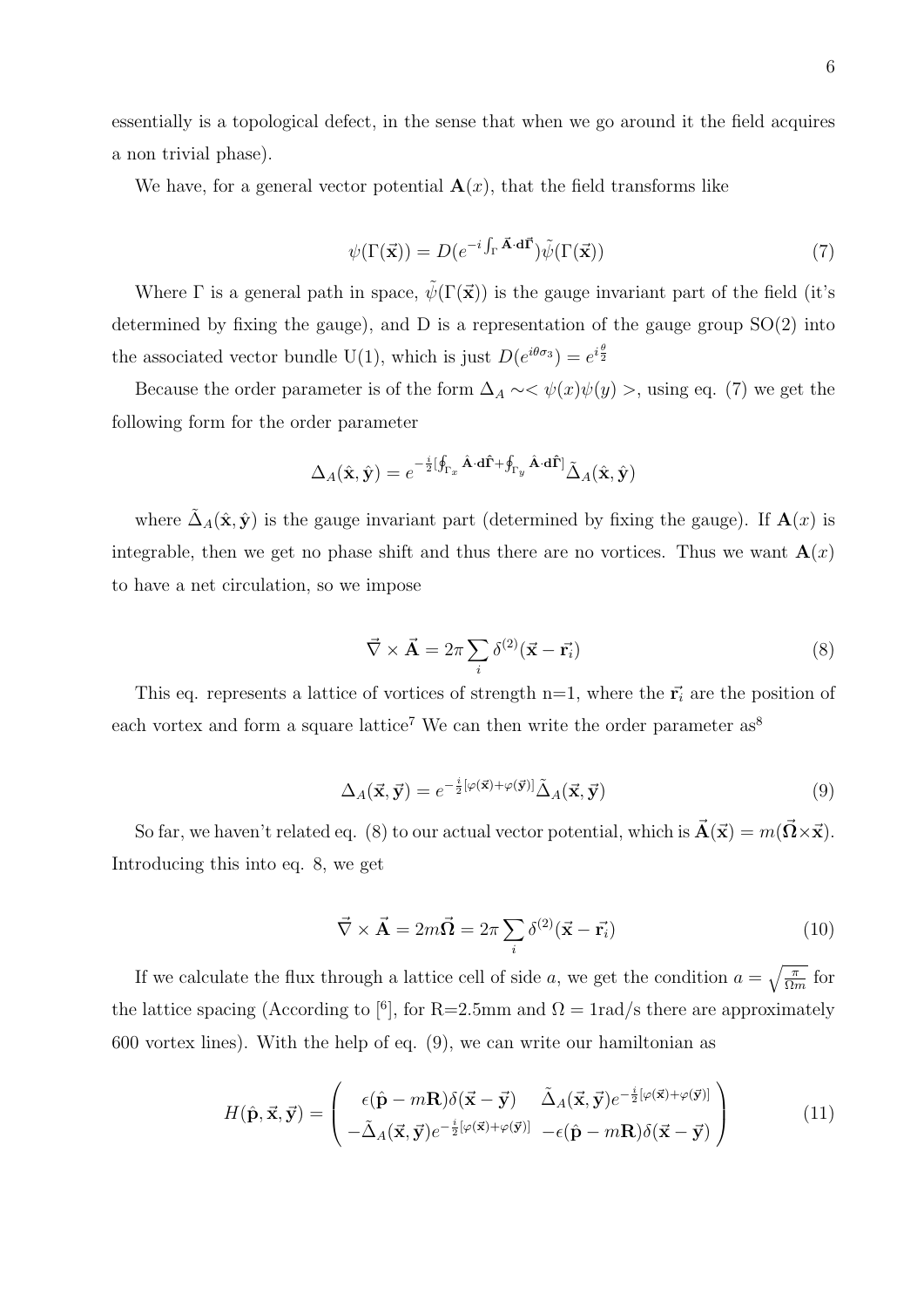essentially is a topological defect, in the sense that when we go around it the field acquires a non trivial phase).

We have, for a general vector potential  $\mathbf{A}(x)$ , that the field transforms like

$$
\psi(\Gamma(\vec{\mathbf{x}})) = D(e^{-i\int_{\Gamma} \vec{\mathbf{A}} \cdot d\vec{\mathbf{\Gamma}}}) \tilde{\psi}(\Gamma(\vec{\mathbf{x}}))
$$
\n(7)

Where  $\Gamma$  is a general path in space,  $\tilde{\psi}(\Gamma(\vec{x}))$  is the gauge invariant part of the field (it's determined by fixing the gauge), and  $D$  is a representation of the gauge group  $SO(2)$  into the associated vector bundle U(1), which is just  $D(e^{i\theta\sigma_3})=e^{i\frac{\theta}{2}}$ 

Because the order parameter is of the form  $\Delta_A \sim \langle \psi(x)\psi(y)\rangle$ , using eq. (7) we get the following form for the order parameter

$$
\Delta_A(\hat{\mathbf{x}},\hat{\mathbf{y}}) = e^{-\frac{i}{2}[\oint_{\Gamma_x} \hat{\mathbf{A}} \cdot \mathbf{d}\hat{\Gamma} + \oint_{\Gamma_y} \hat{\mathbf{A}} \cdot \mathbf{d}\hat{\Gamma}]} \tilde{\Delta}_A(\hat{\mathbf{x}}, \hat{\mathbf{y}})
$$

where  $\tilde{\Delta}_A(\hat{\mathbf{x}}, \hat{\mathbf{y}})$  is the gauge invariant part (determined by fixing the gauge). If  $\mathbf{A}(x)$  is integrable, then we get no phase shift and thus there are no vortices. Thus we want  $\mathbf{A}(x)$ to have a net circulation, so we impose

$$
\vec{\nabla} \times \vec{\mathbf{A}} = 2\pi \sum_{i} \delta^{(2)} (\vec{\mathbf{x}} - \vec{\mathbf{r}_{i}})
$$
 (8)

This eq. represents a lattice of vortices of strength n=1, where the  $\vec{r_i}$  are the position of each vortex and form a square lattice<sup>7</sup> We can then write the order parameter  $as^8$ 

$$
\Delta_A(\vec{\mathbf{x}}, \vec{\mathbf{y}}) = e^{-\frac{i}{2}[\varphi(\vec{\mathbf{x}}) + \varphi(\vec{\mathbf{y}})]} \tilde{\Delta}_A(\vec{\mathbf{x}}, \vec{\mathbf{y}})
$$
(9)

So far, we haven't related eq. (8) to our actual vector potential, which is  $\vec{A}(\vec{x}) = m(\vec{\Omega} \times \vec{x})$ . Introducing this into eq. 8, we get

$$
\vec{\nabla} \times \vec{\mathbf{A}} = 2m\vec{\Omega} = 2\pi \sum_{i} \delta^{(2)}(\vec{\mathbf{x}} - \vec{\mathbf{r}}_{i})
$$
(10)

If we calculate the flux through a lattice cell of side a, we get the condition  $a = \sqrt{\frac{\pi}{\Omega m}}$  for the lattice spacing (According to  $\lceil 6 \rceil$ , for R=2.5mm and  $\Omega = 1$ rad/s there are approximately 600 vortex lines). With the help of eq. (9), we can write our hamiltonian as

$$
H(\hat{\mathbf{p}}, \vec{\mathbf{x}}, \vec{\mathbf{y}}) = \begin{pmatrix} \epsilon(\hat{\mathbf{p}} - m\mathbf{R})\delta(\vec{\mathbf{x}} - \vec{\mathbf{y}}) & \tilde{\Delta}_A(\vec{\mathbf{x}}, \vec{\mathbf{y}})e^{-\frac{i}{2}[\varphi(\vec{\mathbf{x}}) + \varphi(\vec{\mathbf{y}})]} \\ -\tilde{\Delta}_A(\vec{\mathbf{x}}, \vec{\mathbf{y}})e^{-\frac{i}{2}[\varphi(\vec{\mathbf{x}}) + \varphi(\vec{\mathbf{y}})]} & -\epsilon(\hat{\mathbf{p}} - m\mathbf{R})\delta(\vec{\mathbf{x}} - \vec{\mathbf{y}}) \end{pmatrix}
$$
(11)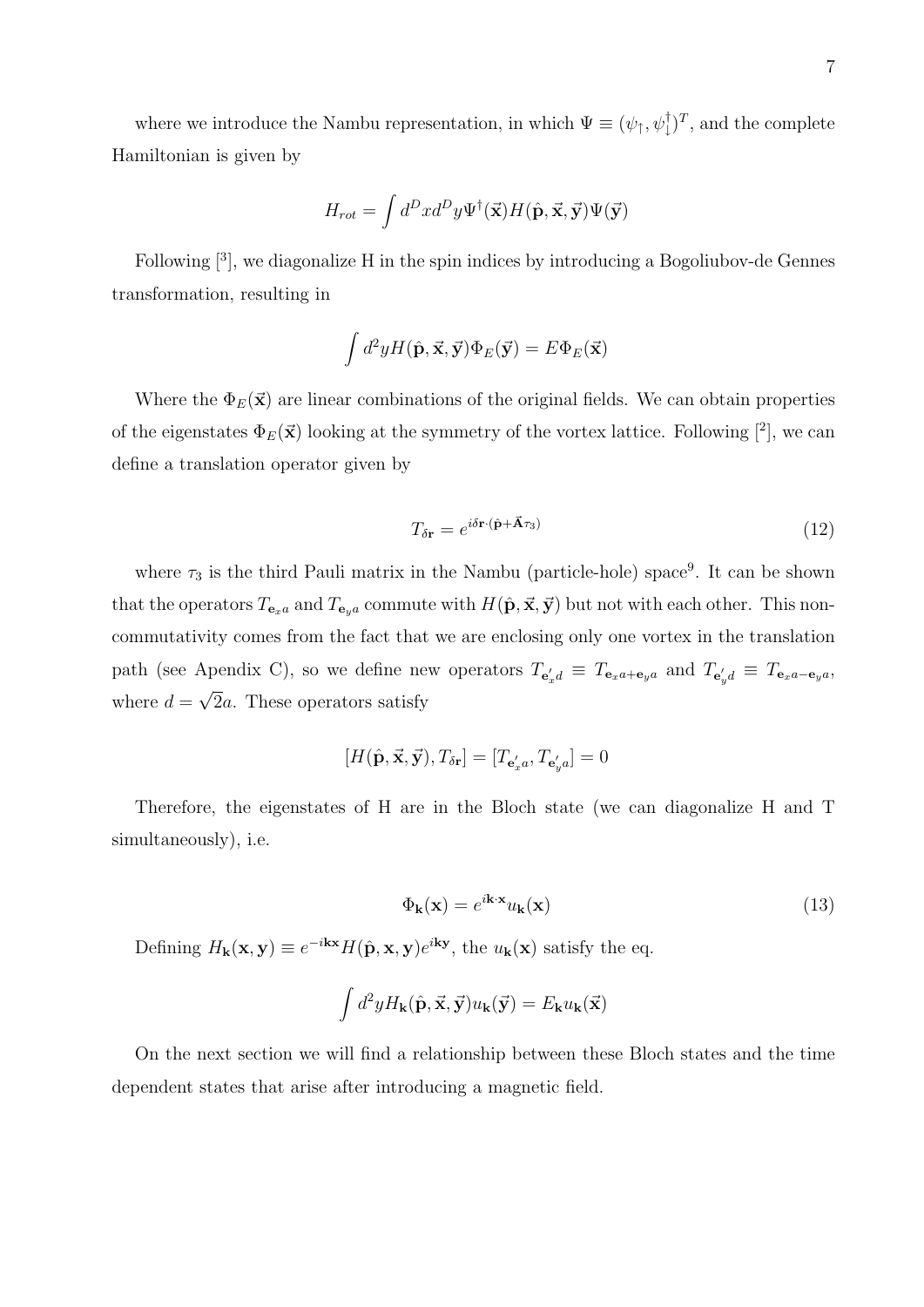where we introduce the Nambu representation, in which  $\Psi \equiv (\psi_{\uparrow}, \psi_{\downarrow}^{\dagger})^T$ , and the complete Hamiltonian is given by

$$
H_{rot}=\int d^Dx d^Dy \Psi^\dagger(\vec{\bf x}) H(\hat{\bf p},\vec{\bf x},\vec{\bf y}) \Psi(\vec{\bf y})
$$

Following <sup>[3]</sup>, we diagonalize H in the spin indices by introducing a Bogoliubov-de Gennes transformation, resulting in

$$
\int d^2y H(\hat{\mathbf{p}}, \vec{\mathbf{x}}, \vec{\mathbf{y}}) \Phi_E(\vec{\mathbf{y}}) = E \Phi_E(\vec{\mathbf{x}})
$$

Where the  $\Phi_E(\vec{x})$  are linear combinations of the original fields. We can obtain properties of the eigenstates  $\Phi_E(\vec{x})$  looking at the symmetry of the vortex lattice. Following  $[2]$ , we can define a translation operator given by

$$
T_{\delta \mathbf{r}} = e^{i\delta \mathbf{r} \cdot (\hat{\mathbf{p}} + \vec{\mathbf{A}} \tau_3)} \tag{12}
$$

where  $\tau_3$  is the third Pauli matrix in the Nambu (particle-hole) space<sup>9</sup>. It can be shown that the operators  $T_{e_x}$  and  $T_{e_y}$  commute with  $H(\hat{\mathbf{p}}, \vec{\mathbf{x}}, \vec{\mathbf{y}})$  but not with each other. This noncommutativity comes from the fact that we are enclosing only one vortex in the translation path (see Apendix C), so we define new operators  $T_{\mathbf{e}'_x d} \equiv T_{\mathbf{e}_x a + \mathbf{e}_y a}$  and  $T_{\mathbf{e}'_y d} \equiv T_{\mathbf{e}_x a - \mathbf{e}_y a}$ , where  $d = \sqrt{2}a$ . These operators satisfy

$$
[H(\hat{\mathbf{p}},\vec{\mathbf{x}},\vec{\mathbf{y}}),T_{\delta\mathbf{r}}]=[T_{\mathbf{e}_x'a},T_{\mathbf{e}_y'a}]=0
$$

Therefore, the eigenstates of H are in the Bloch state (we can diagonalize H and T simultaneously), i.e.

$$
\Phi_{\mathbf{k}}(\mathbf{x}) = e^{i\mathbf{k}\cdot\mathbf{x}} u_{\mathbf{k}}(\mathbf{x})\tag{13}
$$

Defining  $H_{\mathbf{k}}(\mathbf{x}, \mathbf{y}) \equiv e^{-i\mathbf{k}\mathbf{x}} H(\hat{\mathbf{p}}, \mathbf{x}, \mathbf{y}) e^{i\mathbf{k}\mathbf{y}}$ , the  $u_{\mathbf{k}}(\mathbf{x})$  satisfy the eq.

$$
\int d^2y H_{\mathbf{k}}(\hat{\mathbf{p}}, \vec{\mathbf{x}}, \vec{\mathbf{y}}) u_{\mathbf{k}}(\vec{\mathbf{y}}) = E_{\mathbf{k}} u_{\mathbf{k}}(\vec{\mathbf{x}})
$$

On the next section we will find a relationship between these Bloch states and the time dependent states that arise after introducing a magnetic field.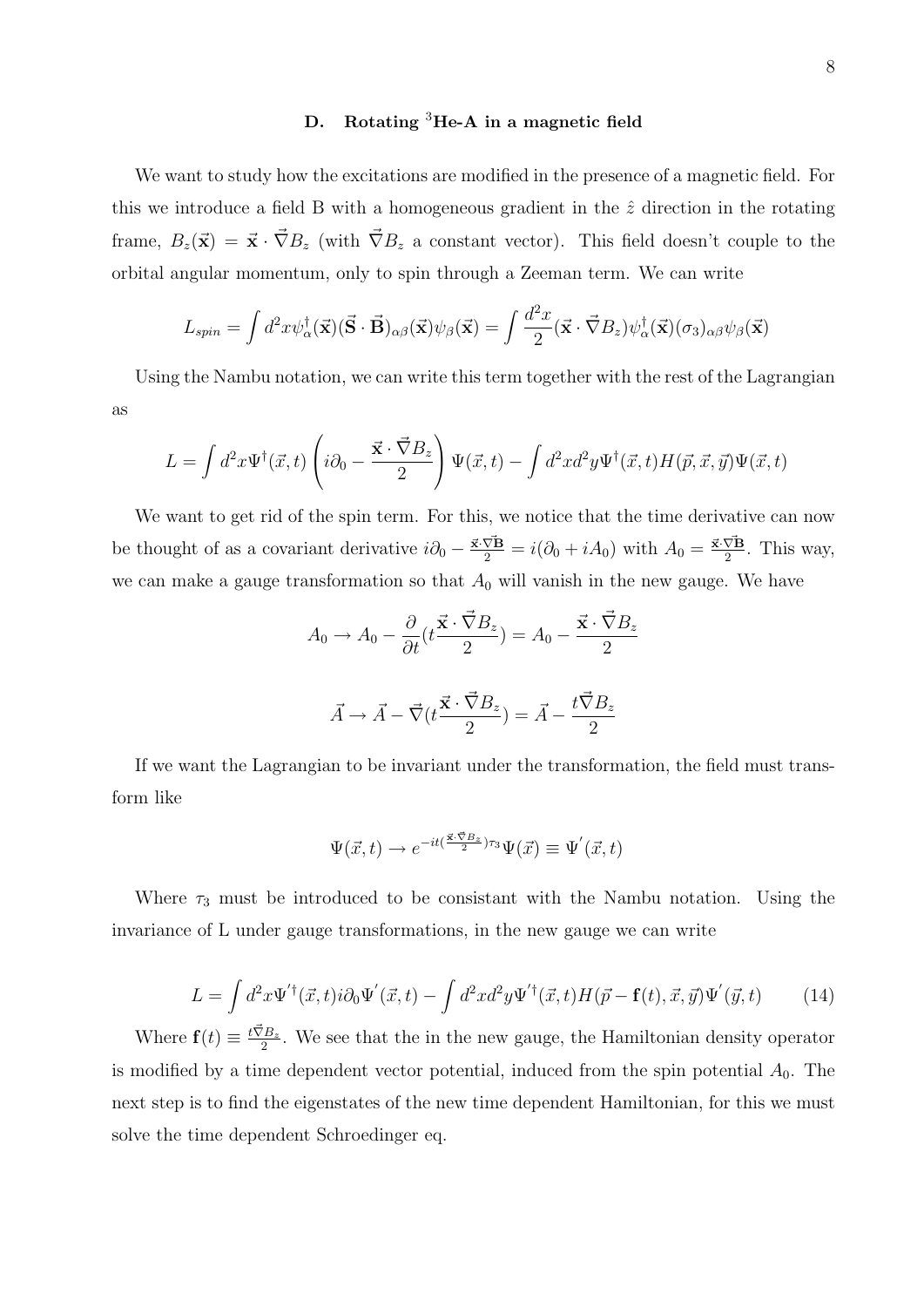# D. Rotating  ${}^{3}$ He-A in a magnetic field

We want to study how the excitations are modified in the presence of a magnetic field. For this we introduce a field B with a homogeneous gradient in the  $\hat{z}$  direction in the rotating frame,  $B_z(\vec{x}) = \vec{x} \cdot \vec{\nabla} B_z$  (with  $\vec{\nabla} B_z$  a constant vector). This field doesn't couple to the orbital angular momentum, only to spin through a Zeeman term. We can write

$$
L_{spin} = \int d^2x \psi_{\alpha}^{\dagger}(\vec{\mathbf{x}})(\vec{\mathbf{S}} \cdot \vec{\mathbf{B}})_{\alpha\beta}(\vec{\mathbf{x}})\psi_{\beta}(\vec{\mathbf{x}}) = \int \frac{d^2x}{2} (\vec{\mathbf{x}} \cdot \vec{\nabla}B_z) \psi_{\alpha}^{\dagger}(\vec{\mathbf{x}})(\sigma_3)_{\alpha\beta} \psi_{\beta}(\vec{\mathbf{x}})
$$

Using the Nambu notation, we can write this term together with the rest of the Lagrangian as

$$
L = \int d^2x \Psi^{\dagger}(\vec{x},t) \left(i\partial_0 - \frac{\vec{x} \cdot \vec{\nabla}B_z}{2}\right) \Psi(\vec{x},t) - \int d^2x d^2y \Psi^{\dagger}(\vec{x},t) H(\vec{p},\vec{x},\vec{y}) \Psi(\vec{x},t)
$$

We want to get rid of the spin term. For this, we notice that the time derivative can now be thought of as a covariant derivative  $i\partial_0 - \frac{\vec{x} \cdot \vec{v} \cdot \vec{B}}{2} = i(\partial_0 + iA_0)$  with  $A_0 = \frac{\vec{x} \cdot \vec{v} \cdot \vec{B}}{2}$  $\frac{\nabla \mathbf{B}}{2}$ . This way, we can make a gauge transformation so that  $A_0$  will vanish in the new gauge. We have

$$
A_0 \to A_0 - \frac{\partial}{\partial t} (t \frac{\vec{\mathbf{x}} \cdot \vec{\nabla} B_z}{2}) = A_0 - \frac{\vec{\mathbf{x}} \cdot \vec{\nabla} B_z}{2}
$$

$$
\vec{A} \to \vec{A} - \vec{\nabla} (t \frac{\vec{\mathbf{x}} \cdot \vec{\nabla} B_z}{2}) = \vec{A} - \frac{t \vec{\nabla} B_z}{2}
$$

If we want the Lagrangian to be invariant under the transformation, the field must transform like

$$
\Psi(\vec{x},t)\rightarrow e^{-it(\frac{\vec{\mathbf{x}}\cdot\vec{\nabla}B_{z}}{2})\tau_{3}}\Psi(\vec{x})\equiv\Psi'(\vec{x},t)
$$

Where  $\tau_3$  must be introduced to be consistant with the Nambu notation. Using the invariance of L under gauge transformations, in the new gauge we can write

$$
L = \int d^2x \Psi^{\prime \dagger}(\vec{x}, t) i \partial_0 \Psi^{\prime}(\vec{x}, t) - \int d^2x d^2y \Psi^{\prime \dagger}(\vec{x}, t) H(\vec{p} - \mathbf{f}(t), \vec{x}, \vec{y}) \Psi^{\prime}(\vec{y}, t)
$$
(14)

Where  $\mathbf{f}(t) \equiv \frac{t \vec{\nabla} B_z}{2}$  $\frac{2B_z}{2}$ . We see that the in the new gauge, the Hamiltonian density operator is modified by a time dependent vector potential, induced from the spin potential  $A_0$ . The next step is to find the eigenstates of the new time dependent Hamiltonian, for this we must solve the time dependent Schroedinger eq.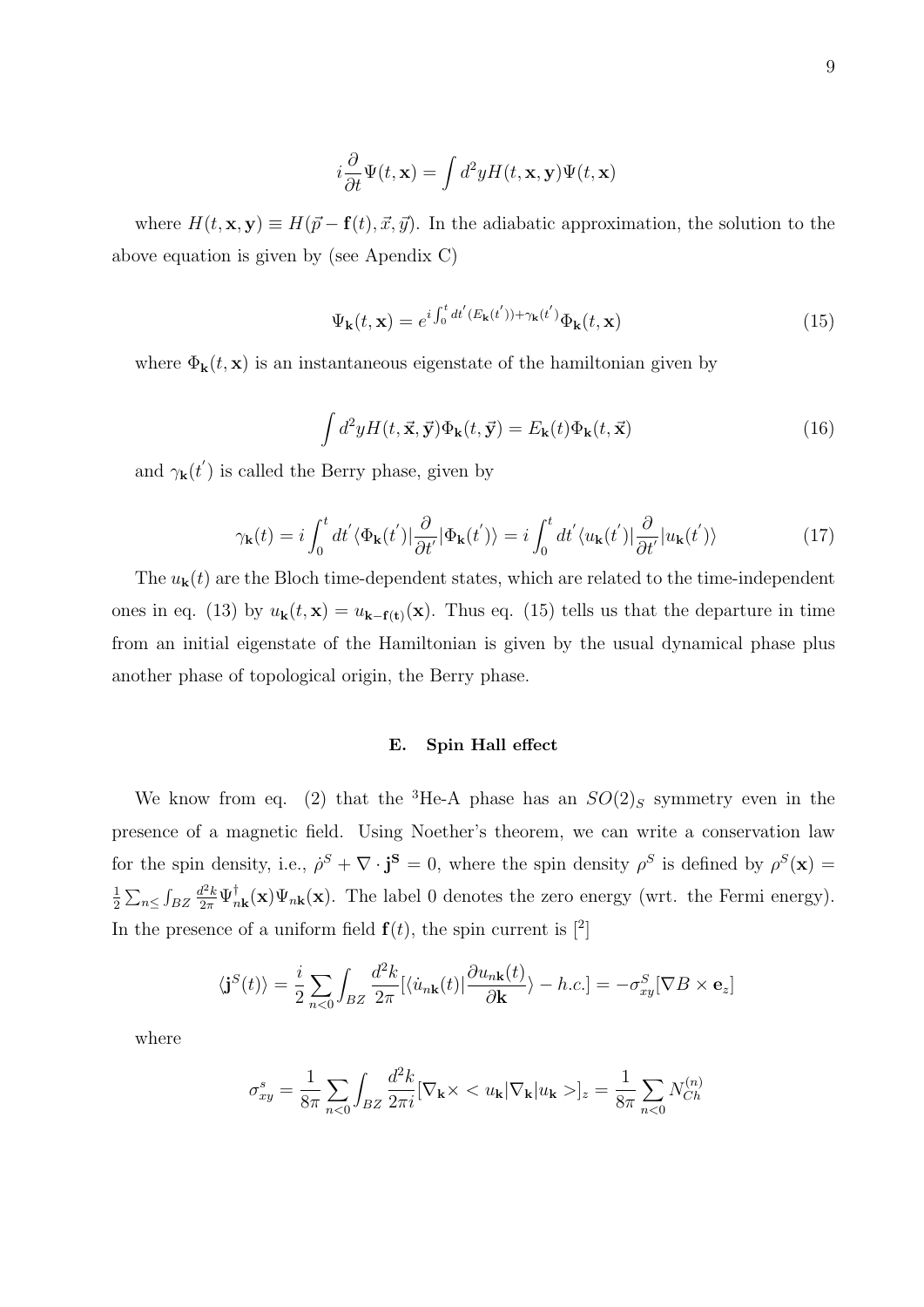$$
i\frac{\partial}{\partial t}\Psi(t,\mathbf{x}) = \int d^2y H(t,\mathbf{x},\mathbf{y})\Psi(t,\mathbf{x})
$$

where  $H(t, \mathbf{x}, \mathbf{y}) \equiv H(\vec{p} - \mathbf{f}(t), \vec{x}, \vec{y})$ . In the adiabatic approximation, the solution to the above equation is given by (see Apendix C)

$$
\Psi_{\mathbf{k}}(t,\mathbf{x}) = e^{i\int_0^t dt'(E_{\mathbf{k}}(t')) + \gamma_{\mathbf{k}}(t')} \Phi_{\mathbf{k}}(t,\mathbf{x})
$$
\n(15)

where  $\Phi_{\mathbf{k}}(t, \mathbf{x})$  is an instantaneous eigenstate of the hamiltonian given by

$$
\int d^2y H(t, \vec{\mathbf{x}}, \vec{\mathbf{y}}) \Phi_{\mathbf{k}}(t, \vec{\mathbf{y}}) = E_{\mathbf{k}}(t) \Phi_{\mathbf{k}}(t, \vec{\mathbf{x}})
$$
(16)

and  $\gamma_{\mathbf{k}}(t')$  is called the Berry phase, given by

$$
\gamma_{\mathbf{k}}(t) = i \int_0^t dt' \langle \Phi_{\mathbf{k}}(t') | \frac{\partial}{\partial t'} | \Phi_{\mathbf{k}}(t') \rangle = i \int_0^t dt' \langle u_{\mathbf{k}}(t') | \frac{\partial}{\partial t'} | u_{\mathbf{k}}(t') \rangle \tag{17}
$$

The  $u_{\mathbf{k}}(t)$  are the Bloch time-dependent states, which are related to the time-independent ones in eq. (13) by  $u_{\mathbf{k}}(t, \mathbf{x}) = u_{\mathbf{k} - \mathbf{f}(t)}(\mathbf{x})$ . Thus eq. (15) tells us that the departure in time from an initial eigenstate of the Hamiltonian is given by the usual dynamical phase plus another phase of topological origin, the Berry phase.

### E. Spin Hall effect

We know from eq. (2) that the <sup>3</sup>He-A phase has an  $SO(2)_S$  symmetry even in the presence of a magnetic field. Using Noether's theorem, we can write a conservation law for the spin density, i.e.,  $\dot{\rho}^S + \nabla \cdot \mathbf{j}^S = 0$ , where the spin density  $\rho^S$  is defined by  $\rho^S(\mathbf{x}) =$ 1  $\frac{1}{2}\sum_{n\leq}\int_{BZ}\frac{d^2k}{2\pi}\Psi_n^\dagger$  $n_{nk}^{\dagger}(\mathbf{x})\Psi_{n\mathbf{k}}(\mathbf{x})$ . The label 0 denotes the zero energy (wrt. the Fermi energy). In the presence of a uniform field  $f(t)$ , the spin current is [<sup>2</sup>]

$$
\langle \mathbf{j}^{S}(t) \rangle = \frac{i}{2} \sum_{n < 0} \int_{BZ} \frac{d^2 k}{2\pi} [\langle \dot{u}_{n\mathbf{k}}(t) | \frac{\partial u_{n\mathbf{k}}(t)}{\partial \mathbf{k}} \rangle - h.c.] = -\sigma_{xy}^S [\nabla B \times \mathbf{e}_z]
$$

where

$$
\sigma_{xy}^s = \frac{1}{8\pi} \sum_{n<0} \int_{BZ} \frac{d^2k}{2\pi i} [\nabla_{\mathbf{k}} \times \langle u_{\mathbf{k}} | \nabla_{\mathbf{k}} | u_{\mathbf{k}} \rangle]_z = \frac{1}{8\pi} \sum_{n<0} N_{Ch}^{(n)}
$$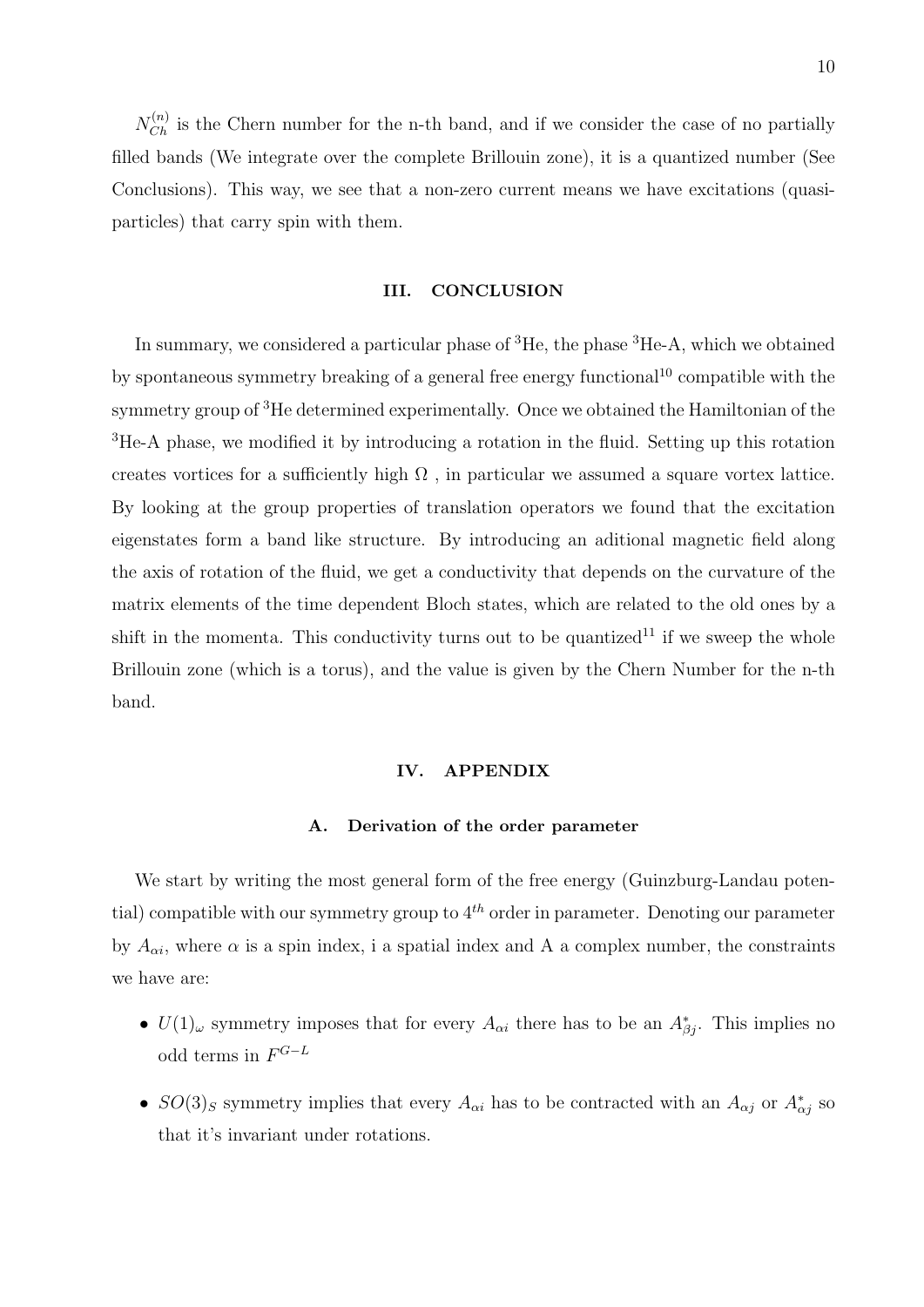$N_{Ch}^{(n)}$  is the Chern number for the n-th band, and if we consider the case of no partially filled bands (We integrate over the complete Brillouin zone), it is a quantized number (See Conclusions). This way, we see that a non-zero current means we have excitations (quasiparticles) that carry spin with them.

### III. CONCLUSION

In summary, we considered a particular phase of  ${}^{3}$ He, the phase  ${}^{3}$ He-A, which we obtained by spontaneous symmetry breaking of a general free energy functional<sup>10</sup> compatible with the symmetry group of <sup>3</sup>He determined experimentally. Once we obtained the Hamiltonian of the <sup>3</sup>He-A phase, we modified it by introducing a rotation in the fluid. Setting up this rotation creates vortices for a sufficiently high  $\Omega$ , in particular we assumed a square vortex lattice. By looking at the group properties of translation operators we found that the excitation eigenstates form a band like structure. By introducing an aditional magnetic field along the axis of rotation of the fluid, we get a conductivity that depends on the curvature of the matrix elements of the time dependent Bloch states, which are related to the old ones by a shift in the momenta. This conductivity turns out to be quantized<sup>11</sup> if we sweep the whole Brillouin zone (which is a torus), and the value is given by the Chern Number for the n-th band.

#### IV. APPENDIX

## A. Derivation of the order parameter

We start by writing the most general form of the free energy (Guinzburg-Landau potential) compatible with our symmetry group to  $4<sup>th</sup>$  order in parameter. Denoting our parameter by  $A_{\alpha i}$ , where  $\alpha$  is a spin index, i a spatial index and A a complex number, the constraints we have are:

- $U(1)_{\omega}$  symmetry imposes that for every  $A_{\alpha i}$  there has to be an  $A_{\beta j}^*$ . This implies no odd terms in  $F^{G-L}$
- $SO(3)_S$  symmetry implies that every  $A_{\alpha i}$  has to be contracted with an  $A_{\alpha j}$  or  $A_{\alpha j}^*$  so that it's invariant under rotations.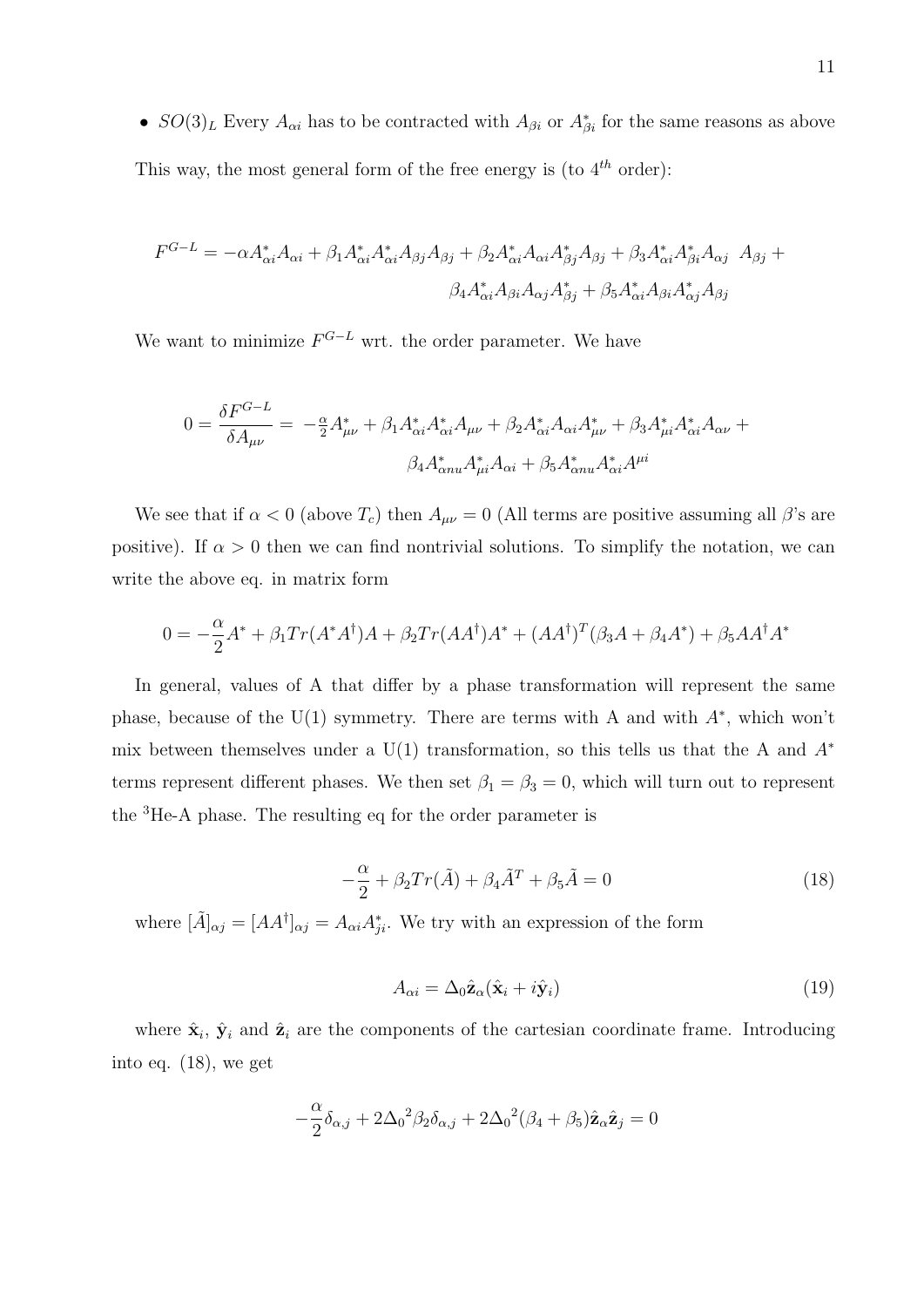•  $SO(3)_L$  Every  $A_{\alpha i}$  has to be contracted with  $A_{\beta i}$  or  $A_{\beta i}^*$  for the same reasons as above This way, the most general form of the free energy is (to  $4^{th}$  order):

$$
F^{G-L} = -\alpha A_{\alpha i}^* A_{\alpha i} + \beta_1 A_{\alpha i}^* A_{\alpha i}^* A_{\beta j} A_{\beta j} + \beta_2 A_{\alpha i}^* A_{\beta j} A_{\beta j} + \beta_3 A_{\alpha i}^* A_{\beta i}^* A_{\alpha j} \ A_{\beta j} +
$$

$$
\beta_4 A_{\alpha i}^* A_{\beta i} A_{\alpha j} A_{\beta j}^* + \beta_5 A_{\alpha i}^* A_{\beta i} A_{\alpha j} A_{\alpha j}^* A_{\beta j}
$$

We want to minimize  $F^{G-L}$  wrt. the order parameter. We have

$$
0 = \frac{\delta F^{G-L}}{\delta A_{\mu\nu}} = -\frac{\alpha}{2} A_{\mu\nu}^* + \beta_1 A_{\alpha i}^* A_{\alpha i}^* A_{\mu\nu} + \beta_2 A_{\alpha i}^* A_{\alpha i} A_{\mu\nu}^* + \beta_3 A_{\mu i}^* A_{\alpha i}^* A_{\alpha \nu} +
$$

$$
\beta_4 A_{\alpha n u}^* A_{\mu i}^* A_{\alpha i} + \beta_5 A_{\alpha n u}^* A_{\alpha i}^* A^{\mu i}
$$

We see that if  $\alpha < 0$  (above  $T_c$ ) then  $A_{\mu\nu} = 0$  (All terms are positive assuming all  $\beta$ 's are positive). If  $\alpha > 0$  then we can find nontrivial solutions. To simplify the notation, we can write the above eq. in matrix form

$$
0 = -\frac{\alpha}{2}A^* + \beta_1 Tr(A^*A^{\dagger})A + \beta_2 Tr(AA^{\dagger})A^* + (AA^{\dagger})^T(\beta_3 A + \beta_4 A^*) + \beta_5 AA^{\dagger}A^*
$$

In general, values of A that differ by a phase transformation will represent the same phase, because of the U(1) symmetry. There are terms with A and with  $A^*$ , which won't mix between themselves under a U(1) transformation, so this tells us that the A and  $A^*$ terms represent different phases. We then set  $\beta_1 = \beta_3 = 0$ , which will turn out to represent the <sup>3</sup>He-A phase. The resulting eq for the order parameter is

$$
-\frac{\alpha}{2} + \beta_2 Tr(\tilde{A}) + \beta_4 \tilde{A}^T + \beta_5 \tilde{A} = 0
$$
\n(18)

where  $[\tilde{A}]_{\alpha j} = [A A^{\dagger}]_{\alpha j} = A_{\alpha i} A_{j i}^*$ . We try with an expression of the form

$$
A_{\alpha i} = \Delta_0 \hat{\mathbf{z}}_{\alpha} (\hat{\mathbf{x}}_i + i \hat{\mathbf{y}}_i)
$$
(19)

where  $\hat{\mathbf{x}}_i$ ,  $\hat{\mathbf{y}}_i$  and  $\hat{\mathbf{z}}_i$  are the components of the cartesian coordinate frame. Introducing into eq. (18), we get

$$
-\frac{\alpha}{2}\delta_{\alpha,j} + 2\Delta_0^2 \beta_2 \delta_{\alpha,j} + 2\Delta_0^2 (\beta_4 + \beta_5)\hat{\mathbf{z}}_{\alpha}\hat{\mathbf{z}}_{j} = 0
$$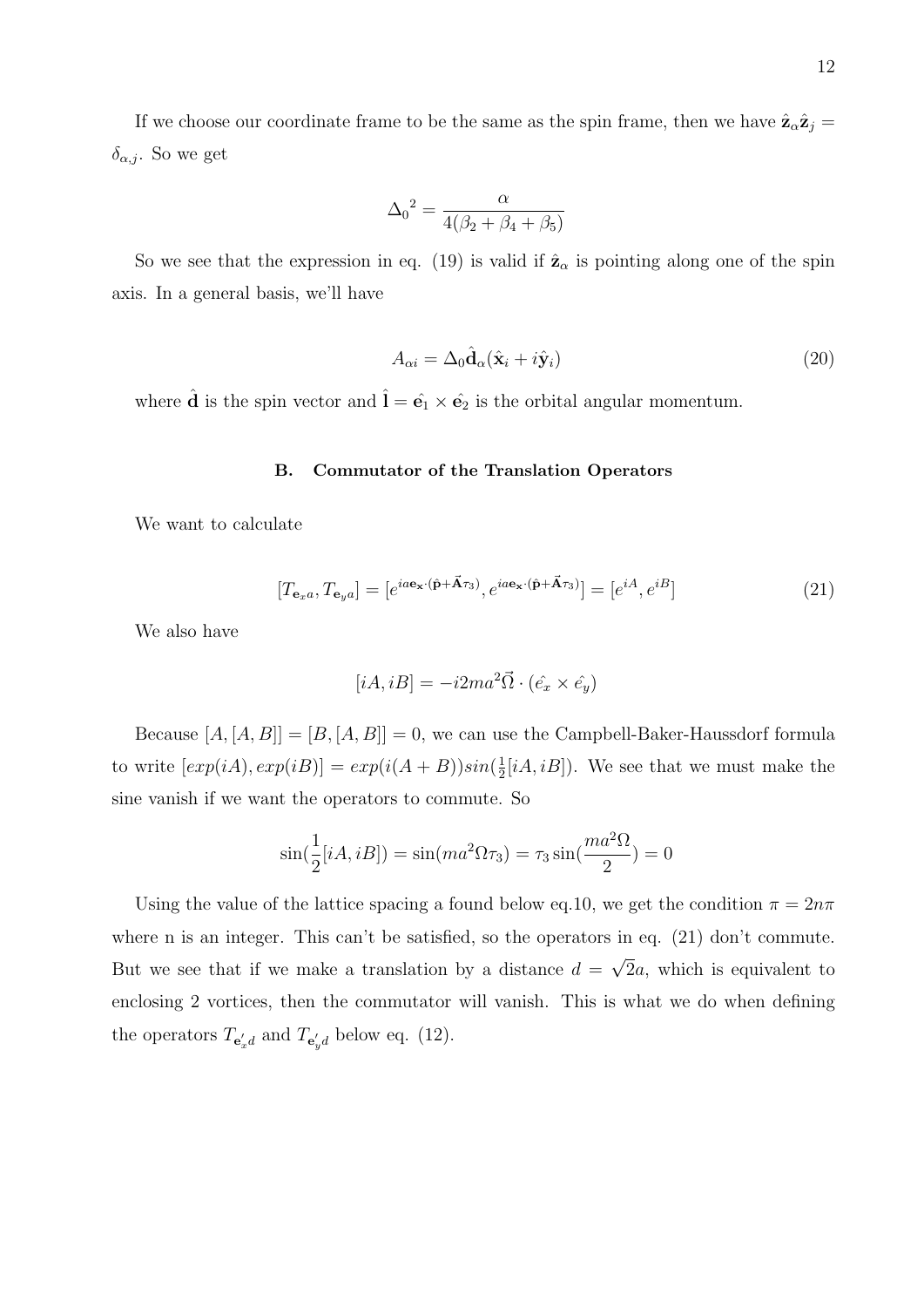If we choose our coordinate frame to be the same as the spin frame, then we have  $\hat{\mathbf{z}}_{\alpha} \hat{\mathbf{z}}_{j} =$  $\delta_{\alpha,i}$ . So we get

$$
\Delta_0^2 = \frac{\alpha}{4(\beta_2 + \beta_4 + \beta_5)}
$$

So we see that the expression in eq. (19) is valid if  $\hat{z}_{\alpha}$  is pointing along one of the spin axis. In a general basis, we'll have

$$
A_{\alpha i} = \Delta_0 \hat{\mathbf{d}}_{\alpha} (\hat{\mathbf{x}}_i + i\hat{\mathbf{y}}_i)
$$
\n(20)

where  $\hat{\mathbf{d}}$  is the spin vector and  $\hat{\mathbf{l}} = \hat{\mathbf{e}}_1 \times \hat{\mathbf{e}}_2$  is the orbital angular momentum.

### B. Commutator of the Translation Operators

We want to calculate

$$
[T_{\mathbf{e}_x a}, T_{\mathbf{e}_y a}] = [e^{ia\mathbf{e}_{\mathbf{x}} \cdot (\hat{\mathbf{p}} + \vec{\mathbf{A}}\tau_3)}, e^{ia\mathbf{e}_{\mathbf{x}} \cdot (\hat{\mathbf{p}} + \vec{\mathbf{A}}\tau_3)}] = [e^{iA}, e^{iB}]
$$
(21)

We also have

$$
[iA, iB] = -i2ma^2\vec{\Omega} \cdot (\hat{e_x} \times \hat{e_y})
$$

Because  $[A, [A, B]] = [B, [A, B]] = 0$ , we can use the Campbell-Baker-Haussdorf formula to write  $[exp(iA), exp(iB)] = exp(i(A+B))sin(\frac{1}{2})$  $\frac{1}{2}[iA, iB]$ . We see that we must make the sine vanish if we want the operators to commute. So

$$
\sin(\frac{1}{2}[iA, iB]) = \sin(ma^2\Omega\tau_3) = \tau_3\sin(\frac{ma^2\Omega}{2}) = 0
$$

Using the value of the lattice spacing a found below eq.10, we get the condition  $\pi = 2n\pi$ where n is an integer. This can't be satisfied, so the operators in eq. (21) don't commute. But we see that if we make a translation by a distance  $d =$ √ 2a, which is equivalent to enclosing 2 vortices, then the commutator will vanish. This is what we do when defining the operators  $T_{\mathbf{e}'_{x}d}$  and  $T_{\mathbf{e}'_{y}d}$  below eq. (12).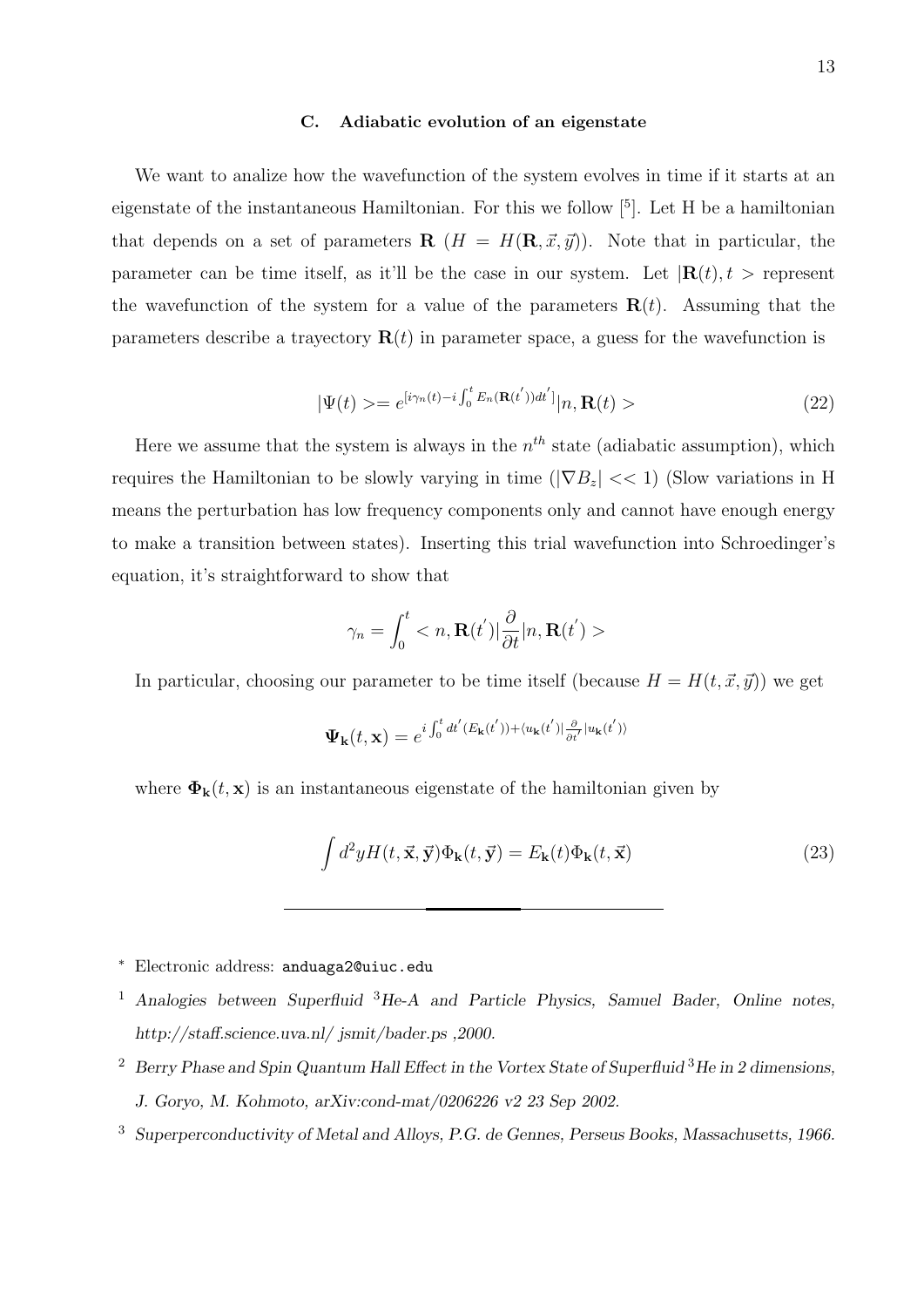#### C. Adiabatic evolution of an eigenstate

We want to analize how the wavefunction of the system evolves in time if it starts at an eigenstate of the instantaneous Hamiltonian. For this we follow [<sup>5</sup> ]. Let H be a hamiltonian that depends on a set of parameters **R**  $(H = H(\mathbf{R}, \vec{x}, \vec{y}))$ . Note that in particular, the parameter can be time itself, as it'll be the case in our system. Let  $\mathbf{R}(t), t >$  represent the wavefunction of the system for a value of the parameters  $\mathbf{R}(t)$ . Assuming that the parameters describe a trayectory  $\mathbf{R}(t)$  in parameter space, a guess for the wavefunction is

$$
|\Psi(t)\rangle = e^{[i\gamma_n(t)-i\int_0^t E_n(\mathbf{R}(t'))dt']}|n,\mathbf{R}(t)\rangle
$$
\n(22)

Here we assume that the system is always in the  $n<sup>th</sup>$  state (adiabatic assumption), which requires the Hamiltonian to be slowly varying in time ( $|\nabla B_z| \ll 1$ ) (Slow variations in H means the perturbation has low frequency components only and cannot have enough energy to make a transition between states). Inserting this trial wavefunction into Schroedinger's equation, it's straightforward to show that

$$
\gamma_n = \int_0^t \langle n, \mathbf{R}(t')| \frac{\partial}{\partial t} |n, \mathbf{R}(t') \rangle
$$

In particular, choosing our parameter to be time itself (because  $H = H(t, \vec{x}, \vec{y})$ ) we get

$$
\mathbf{\Psi}_{\mathbf{k}}(t,\mathbf{x})=e^{i\int_0^tdt^{'}(E_{\mathbf{k}}(t^{'}))+\langle u_{\mathbf{k}}(t^{'})|\frac{\partial}{\partial t^{'}}|u_{\mathbf{k}}(t^{'})\rangle}
$$

where  $\mathbf{\Phi}_{\mathbf{k}}(t, \mathbf{x})$  is an instantaneous eigenstate of the hamiltonian given by

$$
\int d^2y H(t, \vec{\mathbf{x}}, \vec{\mathbf{y}}) \Phi_{\mathbf{k}}(t, \vec{\mathbf{y}}) = E_{\mathbf{k}}(t) \Phi_{\mathbf{k}}(t, \vec{\mathbf{x}})
$$
\n(23)

<sup>∗</sup> Electronic address: anduaga2@uiuc.edu

- <sup>2</sup> Berry Phase and Spin Quantum Hall Effect in the Vortex State of Superfluid  ${}^{3}$  He in 2 dimensions, J. Goryo, M. Kohmoto, arXiv:cond-mat/0206226 v2 23 Sep 2002.
- <sup>3</sup> Superperconductivity of Metal and Alloys, P.G. de Gennes, Perseus Books, Massachusetts, 1966.

<sup>&</sup>lt;sup>1</sup> Analogies between Superfluid  ${}^{3}$ He-A and Particle Physics, Samuel Bader, Online notes, http://staff.science.uva.nl/ jsmit/bader.ps ,2000.